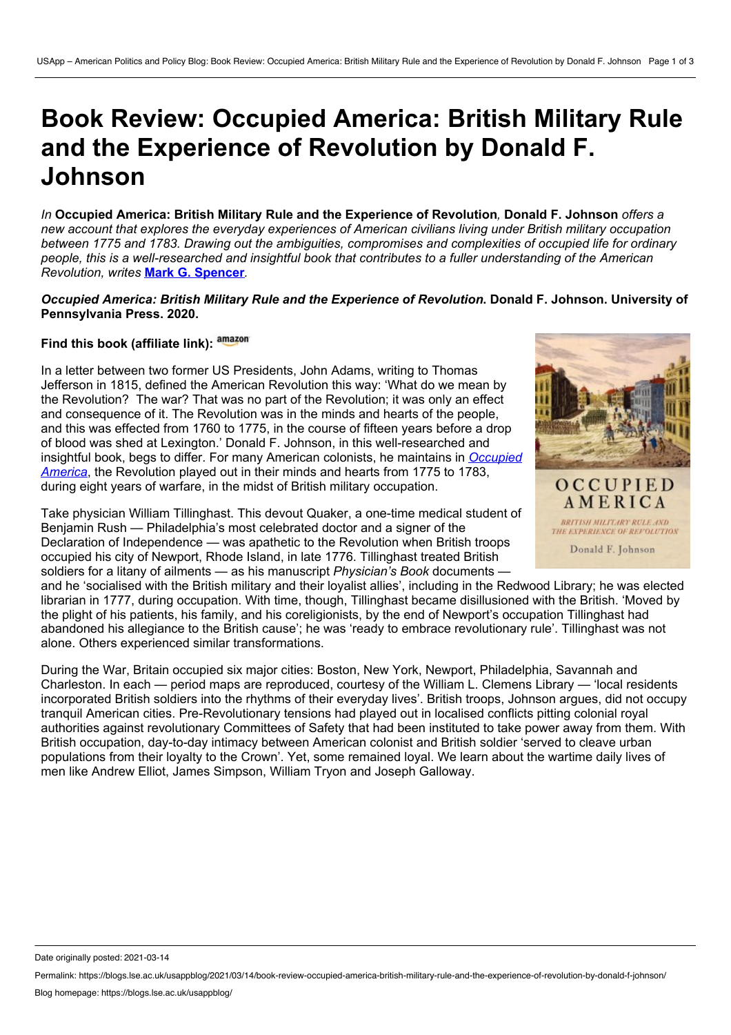# **Book Review: Occupied America: British Military Rule and the Experience of Revolution by Donald F. Johnson**

*In* **Occupied America: British Military Rule and the Experience of Revolution***,* **Donald F. Johnson** *offers a new account that explores the everyday experiences of American civilians living under British military occupation between 1775 and 1783. Drawing out the ambiguities, compromises and complexities of occupied life for ordinary* people, this is a well-researched and insightful book that contributes to a fuller understanding of the American *Revolution, writes* **Mark G. [Spencer](https://wp.me/p3I2YF-aNy#Author)***.*

#### *Occupied America: British Military Rule and the Experience of Revolution***. Donald F. Johnson. University of Pennsylvania Press. 2020.**

# **Find this book (affiliate link):**

In a letter between two former US Presidents, John Adams, writing to Thomas Jefferson in 1815, defined the American Revolution this way: 'What do we mean by the Revolution? The war? That was no part of the Revolution; it was only an effect and consequence of it. The Revolution was in the minds and hearts of the people, and this was effected from 1760 to 1775, in the course of fifteen years before a drop of blood was shed at Lexington.' Donald F. Johnson, in this well-researched and insightful book, begs to differ. For many American colonists, he maintains in *Occupied America*, the [Revolution](https://www.upenn.edu/pennpress/book/16134.html) played out in their minds and hearts from 1775 to 1783, during eight years of warfare, in the midst of British military occupation.

Take physician William Tillinghast. This devout Quaker, a one-time medical student of Benjamin Rush — Philadelphia's most celebrated doctor and a signer of the Declaration of Independence — was apathetic to the Revolution when British troops occupied his city of Newport, Rhode Island, in late 1776. Tillinghast treated British soldiers for a litany of ailments — as his manuscript *Physician's Book* documents —

and he 'socialised with the British military and their loyalist allies', including in the Redwood Library; he was elected librarian in 1777, during occupation. With time, though, Tillinghast became disillusioned with the British. 'Moved by the plight of his patients, his family, and his coreligionists, by the end of Newport's occupation Tillinghast had abandoned his allegiance to the British cause'; he was 'ready to embrace revolutionary rule'. Tillinghast was not alone. Others experienced similar transformations.

During the War, Britain occupied six major cities: Boston, New York, Newport, Philadelphia, Savannah and Charleston. In each — period maps are reproduced, courtesy of the William L. Clemens Library — 'local residents incorporated British soldiers into the rhythms of their everyday lives'. British troops, Johnson argues, did not occupy tranquil American cities. Pre-Revolutionary tensions had played out in localised conflicts pitting colonial royal authorities against revolutionary Committees of Safety that had been instituted to take power away from them. With British occupation, day-to-day intimacy between American colonist and British soldier 'served to cleave urban populations from their loyalty to the Crown'. Yet, some remained loyal. We learn about the wartime daily lives of men like Andrew Elliot, James Simpson, William Tryon and Joseph Galloway.



BRITISH MILITARY RULE AND THE EXPERIENCE OF REPOLUTION Donald F. Johnson

Date originally posted: 2021-03-14

Permalink: https://blogs.lse.ac.uk/usappblog/2021/03/14/book-review-occupied-america-british-military-rule-and-the-experience-of-revolution-by-donald-f-johnson/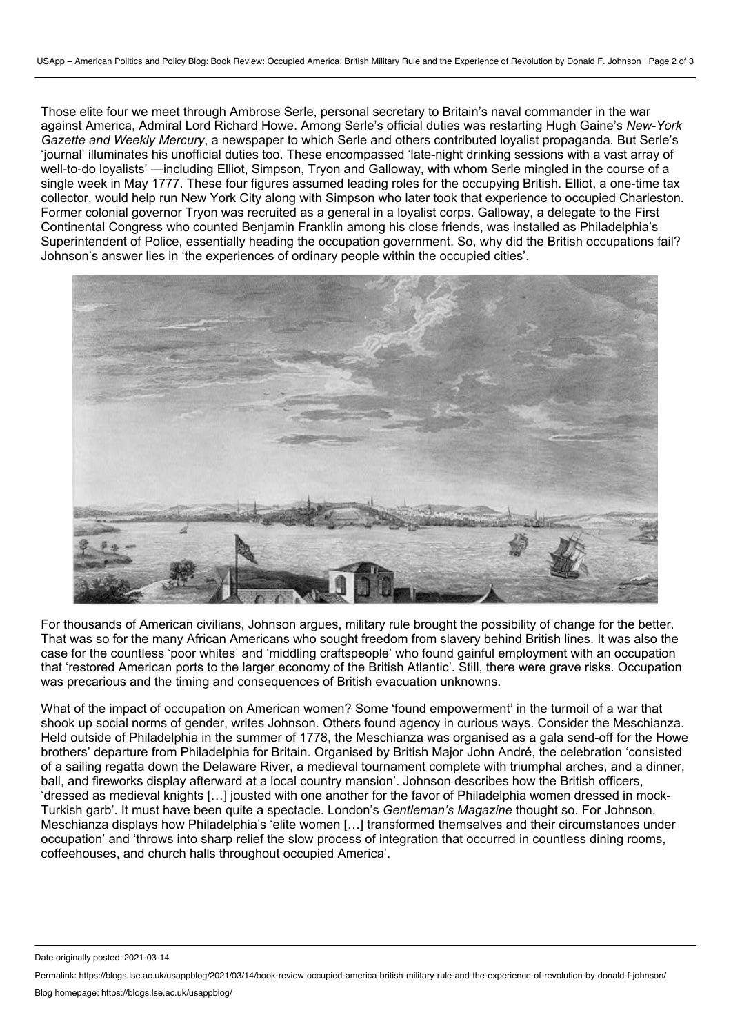Those elite four we meet through Ambrose Serle, personal secretary to Britain's naval commander in the war against America, Admiral Lord Richard Howe. Among Serle's official duties was restarting Hugh Gaine's *New-York Gazette and Weekly Mercury*, a newspaper to which Serle and others contributed loyalist propaganda. But Serle's 'journal' illuminates his unofficial duties too. These encompassed 'late-night drinking sessions with a vast array of well-to-do loyalists' —including Elliot, Simpson, Tryon and Galloway, with whom Serle mingled in the course of a single week in May 1777. These four figures assumed leading roles for the occupying British. Elliot, a one-time tax collector, would help run New York City along with Simpson who later took that experience to occupied Charleston. Former colonial governor Tryon was recruited as a general in a loyalist corps. Galloway, a delegate to the First Continental Congress who counted Benjamin Franklin among his close friends, was installed as Philadelphia's Superintendent of Police, essentially heading the occupation government. So, why did the British occupations fail? Johnson's answer lies in 'the experiences of ordinary people within the occupied cities'.



For thousands of American civilians, Johnson argues, military rule brought the possibility of change for the better. That was so for the many African Americans who sought freedom from slavery behind British lines. It was also the case for the countless 'poor whites' and 'middling craftspeople' who found gainful employment with an occupation that 'restored American ports to the larger economy of the British Atlantic'. Still, there were grave risks. Occupation was precarious and the timing and consequences of British evacuation unknowns.

What of the impact of occupation on American women? Some 'found empowerment' in the turmoil of a war that shook up social norms of gender, writes Johnson. Others found agency in curious ways. Consider the Meschianza. Held outside of Philadelphia in the summer of 1778, the Meschianza was organised as a gala send-off for the Howe brothers' departure from Philadelphia for Britain. Organised by British Major John André, the celebration 'consisted of a sailing regatta down the Delaware River, a medieval tournament complete with triumphal arches, and a dinner, ball, and fireworks display afterward at a local country mansion'. Johnson describes how the British officers, 'dressed as medieval knights […] jousted with one another for the favor of Philadelphia women dressed in mock- Turkish garb'. It must have been quite a spectacle. London's *Gentleman's Magazine* thought so. For Johnson, Meschianza displays how Philadelphia's 'elite women […] transformed themselves and their circumstances under occupation' and 'throws into sharp relief the slow process of integration that occurred in countless dining rooms, coffeehouses, and church halls throughout occupied America'.

Date originally posted: 2021-03-14

Permalink: https://blogs.lse.ac.uk/usappblog/2021/03/14/book-review-occupied-america-british-military-rule-and-the-experience-of-revolution-by-donald-f-johnson/